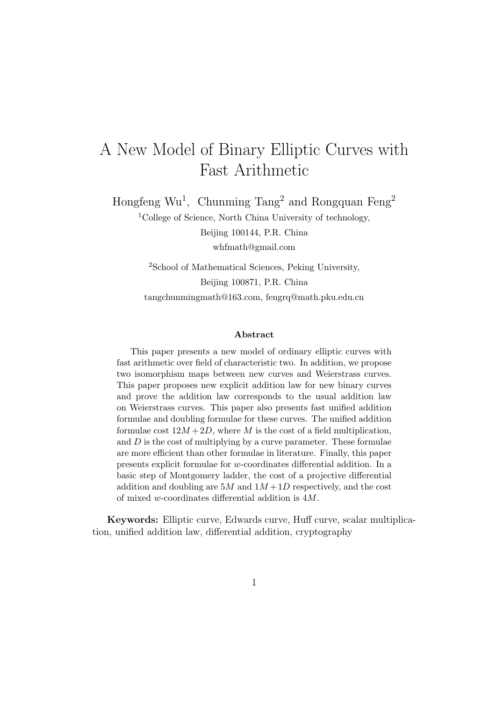# A New Model of Binary Elliptic Curves with Fast Arithmetic

Hongfeng Wu<sup>1</sup>, Chunming Tang<sup>2</sup> and Rongquan Feng<sup>2</sup>

<sup>1</sup>College of Science, North China University of technology, Beijing 100144, P.R. China whfmath@gmail.com

<sup>2</sup>School of Mathematical Sciences, Peking University, Beijing 100871, P.R. China tangchunmingmath@163.com, fengrq@math.pku.edu.cn

#### Abstract

This paper presents a new model of ordinary elliptic curves with fast arithmetic over field of characteristic two. In addition, we propose two isomorphism maps between new curves and Weierstrass curves. This paper proposes new explicit addition law for new binary curves and prove the addition law corresponds to the usual addition law on Weierstrass curves. This paper also presents fast unified addition formulae and doubling formulae for these curves. The unified addition formulae cost  $12M + 2D$ , where M is the cost of a field multiplication, and  $D$  is the cost of multiplying by a curve parameter. These formulae are more efficient than other formulae in literature. Finally, this paper presents explicit formulae for w-coordinates differential addition. In a basic step of Montgomery ladder, the cost of a projective differential addition and doubling are  $5M$  and  $1M+1D$  respectively, and the cost of mixed w-coordinates differential addition is 4M.

Keywords: Elliptic curve, Edwards curve, Huff curve, scalar multiplication, unified addition law, differential addition, cryptography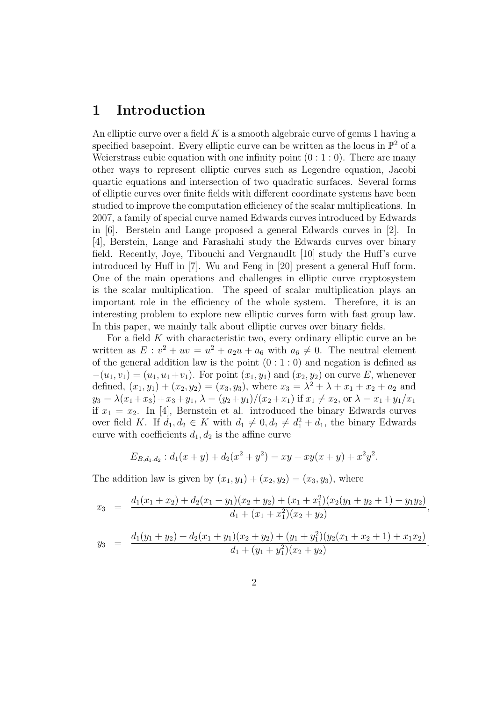### 1 Introduction

An elliptic curve over a field  $K$  is a smooth algebraic curve of genus 1 having a specified basepoint. Every elliptic curve can be written as the locus in  $\mathbb{P}^2$  of a Weierstrass cubic equation with one infinity point  $(0:1:0)$ . There are many other ways to represent elliptic curves such as Legendre equation, Jacobi quartic equations and intersection of two quadratic surfaces. Several forms of elliptic curves over finite fields with different coordinate systems have been studied to improve the computation efficiency of the scalar multiplications. In 2007, a family of special curve named Edwards curves introduced by Edwards in [6]. Berstein and Lange proposed a general Edwards curves in [2]. In [4], Berstein, Lange and Farashahi study the Edwards curves over binary field. Recently, Joye, Tibouchi and VergnaudIt [10] study the Huff's curve introduced by Huff in [7]. Wu and Feng in [20] present a general Huff form. One of the main operations and challenges in elliptic curve cryptosystem is the scalar multiplication. The speed of scalar multiplication plays an important role in the efficiency of the whole system. Therefore, it is an interesting problem to explore new elliptic curves form with fast group law. In this paper, we mainly talk about elliptic curves over binary fields.

For a field  $K$  with characteristic two, every ordinary elliptic curve an be written as  $E: v^2 + uv = u^2 + a_2u + a_6$  with  $a_6 \neq 0$ . The neutral element of the general addition law is the point  $(0:1:0)$  and negation is defined as  $-(u_1, v_1) = (u_1, u_1 + v_1)$ . For point  $(x_1, y_1)$  and  $(x_2, y_2)$  on curve E, whenever defined,  $(x_1, y_1) + (x_2, y_2) = (x_3, y_3)$ , where  $x_3 = \lambda^2 + \lambda + x_1 + x_2 + a_2$  and  $y_3 = \lambda(x_1 + x_3) + x_3 + y_1, \lambda = (y_2 + y_1)/(x_2 + x_1)$  if  $x_1 \neq x_2$ , or  $\lambda = x_1 + y_1/x_1$ if  $x_1 = x_2$ . In [4], Bernstein et al. introduced the binary Edwards curves over field K. If  $d_1, d_2 \in K$  with  $d_1 \neq 0, d_2 \neq d_1^2 + d_1$ , the binary Edwards curve with coefficients  $d_1, d_2$  is the affine curve

$$
E_{B,d_1,d_2}: d_1(x+y) + d_2(x^2+y^2) = xy + xy(x+y) + x^2y^2.
$$

The addition law is given by  $(x_1, y_1) + (x_2, y_2) = (x_3, y_3)$ , where

$$
x_3 = \frac{d_1(x_1+x_2) + d_2(x_1+y_1)(x_2+y_2) + (x_1+x_1^2)(x_2(y_1+y_2+1) + y_1y_2)}{d_1 + (x_1+x_1^2)(x_2+y_2)}
$$

,

$$
y_3 = \frac{d_1(y_1 + y_2) + d_2(x_1 + y_1)(x_2 + y_2) + (y_1 + y_1^2)(y_2(x_1 + x_2 + 1) + x_1x_2)}{d_1 + (y_1 + y_1^2)(x_2 + y_2)}.
$$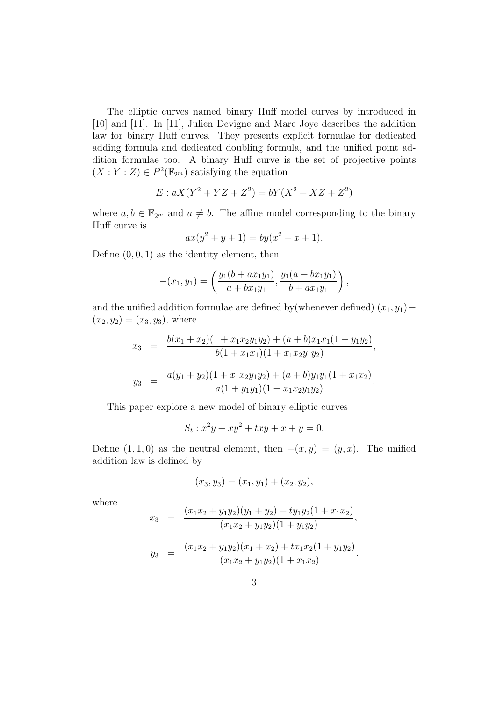The elliptic curves named binary Huff model curves by introduced in [10] and [11]. In [11], Julien Devigne and Marc Joye describes the addition law for binary Huff curves. They presents explicit formulae for dedicated adding formula and dedicated doubling formula, and the unified point addition formulae too. A binary Huff curve is the set of projective points  $(X:Y:Z) \in P^2(\mathbb{F}_{2^m})$  satisfying the equation

$$
E: aX(Y^2 + YZ + Z^2) = bY(X^2 + XZ + Z^2)
$$

where  $a, b \in \mathbb{F}_{2^m}$  and  $a \neq b$ . The affine model corresponding to the binary Huff curve is

$$
ax(y^2 + y + 1) = by(x^2 + x + 1).
$$

Define  $(0, 0, 1)$  as the identity element, then

$$
-(x_1, y_1) = \left(\frac{y_1(b + ax_1y_1)}{a + bx_1y_1}, \frac{y_1(a + bx_1y_1)}{b + ax_1y_1}\right),
$$

and the unified addition formulae are defined by (whenever defined)  $(x_1, y_1)$  +  $(x_2, y_2) = (x_3, y_3)$ , where

$$
x_3 = \frac{b(x_1 + x_2)(1 + x_1x_2y_1y_2) + (a+b)x_1x_1(1 + y_1y_2)}{b(1 + x_1x_1)(1 + x_1x_2y_1y_2)},
$$
  

$$
y_3 = \frac{a(y_1 + y_2)(1 + x_1x_2y_1y_2) + (a+b)y_1y_1(1 + x_1x_2)}{a(1 + y_1y_1)(1 + x_1x_2y_1y_2)}.
$$

This paper explore a new model of binary elliptic curves

$$
S_t : x^2y + xy^2 + txy + x + y = 0.
$$

Define  $(1, 1, 0)$  as the neutral element, then  $-(x, y) = (y, x)$ . The unified addition law is defined by

$$
(x_3, y_3) = (x_1, y_1) + (x_2, y_2),
$$

where

$$
x_3 = \frac{(x_1x_2 + y_1y_2)(y_1 + y_2) + ty_1y_2(1 + x_1x_2)}{(x_1x_2 + y_1y_2)(1 + y_1y_2)},
$$
  

$$
y_3 = \frac{(x_1x_2 + y_1y_2)(x_1 + x_2) + tx_1x_2(1 + y_1y_2)}{(x_1x_2 + y_1y_2)(1 + x_1x_2)}.
$$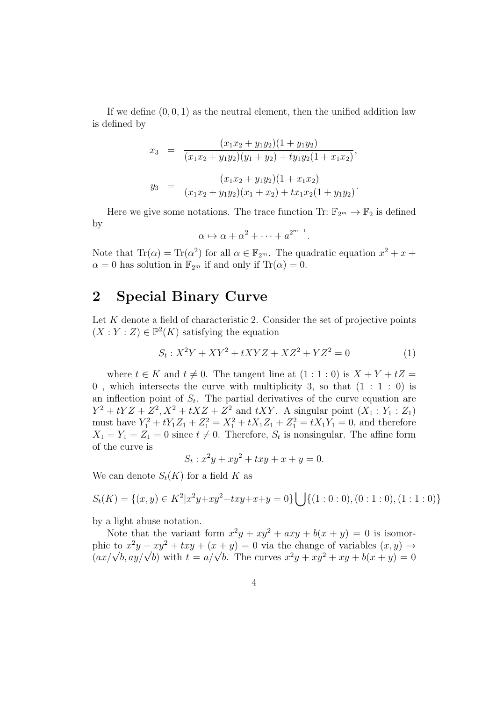If we define  $(0, 0, 1)$  as the neutral element, then the unified addition law is defined by

$$
x_3 = \frac{(x_1x_2 + y_1y_2)(1 + y_1y_2)}{(x_1x_2 + y_1y_2)(y_1 + y_2) + ty_1y_2(1 + x_1x_2)},
$$
  

$$
y_3 = \frac{(x_1x_2 + y_1y_2)(1 + x_1x_2)}{(x_1x_2 + y_1y_2)(x_1 + x_2) + tx_1x_2(1 + y_1y_2)}.
$$

Here we give some notations. The trace function Tr:  $\mathbb{F}_{2^m} \to \mathbb{F}_2$  is defined by

$$
\alpha \mapsto \alpha + \alpha^2 + \dots + a^{2^{m-1}}
$$

Note that  $\text{Tr}(\alpha) = \text{Tr}(\alpha^2)$  for all  $\alpha \in \mathbb{F}_{2^m}$ . The quadratic equation  $x^2 + x +$  $\alpha = 0$  has solution in  $\mathbb{F}_{2^m}$  if and only if  $\text{Tr}(\alpha) = 0$ .

### 2 Special Binary Curve

Let  $K$  denote a field of characteristic 2. Consider the set of projective points  $(X:Y:Z) \in \mathbb{P}^2(K)$  satisfying the equation

$$
S_t: X^2Y + XY^2 + tXYZ + XZ^2 + YZ^2 = 0 \tag{1}
$$

.

where  $t \in K$  and  $t \neq 0$ . The tangent line at  $(1 : 1 : 0)$  is  $X + Y + tZ =$ 0, which intersects the curve with multiplicity 3, so that  $(1 : 1 : 0)$  is an inflection point of  $S_t$ . The partial derivatives of the curve equation are  $Y^2 + tYZ + Z^2, X^2 + tXZ + Z^2$  and  $tXY$ . A singular point  $(X_1 : Y_1 : Z_1)$ must have  $Y_1^2 + tY_1Z_1 + Z_1^2 = X_1^2 + tX_1Z_1 + Z_1^2 = tX_1Y_1 = 0$ , and therefore  $X_1 = Y_1 = Z_1 = 0$  since  $t \neq 0$ . Therefore,  $S_t$  is nonsingular. The affine form of the curve is

$$
S_t: x^2y + xy^2 + txy + x + y = 0.
$$

We can denote  $S_t(K)$  for a field K as

$$
S_t(K) = \{(x, y) \in K^2 | x^2y + xy^2 + txy + x + y = 0 \} \bigcup \{(1 : 0 : 0), (0 : 1 : 0), (1 : 1 : 0) \}
$$

by a light abuse notation.

Note that the variant form  $x^2y + xy^2 + axy + b(x + y) = 0$  is isomorphic to  $x^2y + xy^2 + txy + (x + y) = 0$  via the change of variables  $(x, y) \rightarrow$ phic to  $x^2y + xy^2 + txy + (x + y) = 0$  via the change of variables  $(x, y) \rightarrow (ax/\sqrt{b}, ay/\sqrt{b})$  with  $t = a/\sqrt{b}$ . The curves  $x^2y + xy^2 + xy + b(x + y) = 0$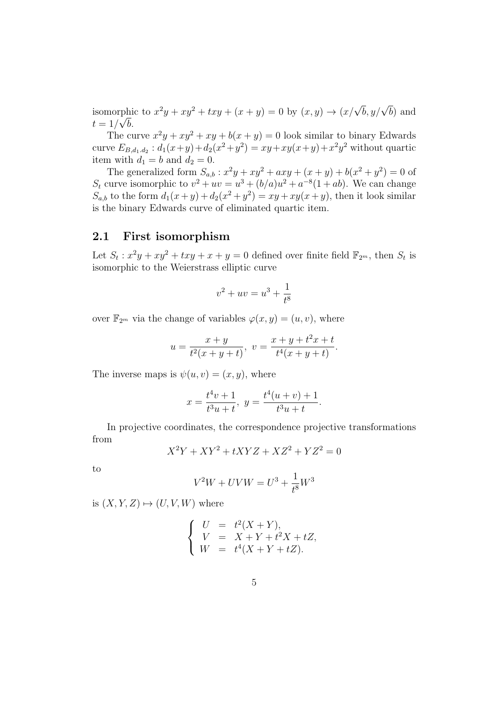isomorphic to  $x^2y + xy^2 + txy + (x + y) = 0$  by  $(x, y) \rightarrow (x/\sqrt{b}, y/\sqrt{b})$  and  $t=1/\sqrt{b}$ .

The curve  $x^2y + xy^2 + xy + b(x + y) = 0$  look similar to binary Edwards curve  $E_{B,d_1,d_2}: d_1(x+y) + d_2(x^2+y^2) = xy + xy(x+y) + x^2y^2$  without quartic item with  $d_1 = b$  and  $d_2 = 0$ .

The generalized form  $S_{a,b}$ :  $x^2y + xy^2 + axy + (x + y) + b(x^2 + y^2) = 0$  of  $S_t$  curve isomorphic to  $v^2 + uv = u^3 + (b/a)u^2 + a^{-8}(1+ab)$ . We can change  $S_{a,b}$  to the form  $d_1(x+y) + d_2(x^2+y^2) = xy + xy(x+y)$ , then it look similar is the binary Edwards curve of eliminated quartic item.

### 2.1 First isomorphism

Let  $S_t: x^2y + xy^2 + txy + x + y = 0$  defined over finite field  $\mathbb{F}_{2^m}$ , then  $S_t$  is isomorphic to the Weierstrass elliptic curve

$$
v^2 + uv = u^3 + \frac{1}{t^8}
$$

over  $\mathbb{F}_{2^m}$  via the change of variables  $\varphi(x, y) = (u, v)$ , where

$$
u = \frac{x+y}{t^2(x+y+t)}, \ v = \frac{x+y+t^2x+t}{t^4(x+y+t)}.
$$

The inverse maps is  $\psi(u, v) = (x, y)$ , where

$$
x = \frac{t^4v + 1}{t^3u + t}, \ y = \frac{t^4(u + v) + 1}{t^3u + t}.
$$

In projective coordinates, the correspondence projective transformations from

$$
X^2Y + XY^2 + tXYZ + XZ^2 + YZ^2 = 0
$$

to

$$
V^{2}W + UVW = U^{3} + \frac{1}{t^{8}}W^{3}
$$

is  $(X, Y, Z) \mapsto (U, V, W)$  where

$$
\begin{cases}\nU &= t^{2}(X+Y), \\
V &= X+Y+t^{2}X+tZ, \\
W &= t^{4}(X+Y+tZ).\n\end{cases}
$$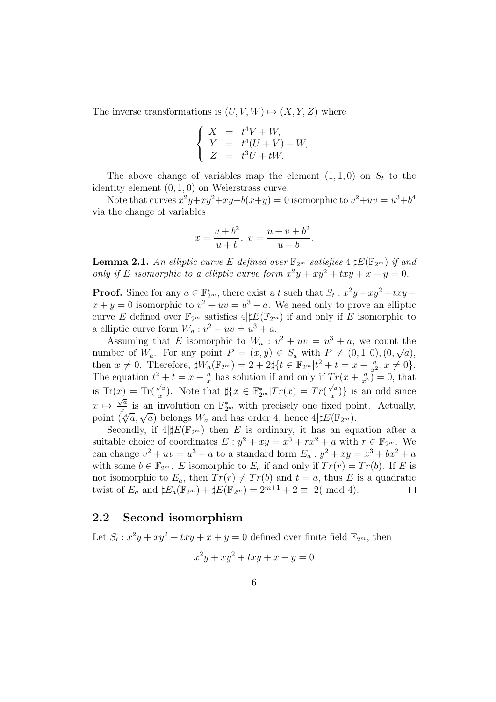The inverse transformations is  $(U, V, W) \mapsto (X, Y, Z)$  where

$$
\begin{cases}\nX &= t^4V + W, \\
Y &= t^4(U + V) + W, \\
Z &= t^3U + tW.\n\end{cases}
$$

The above change of variables map the element  $(1, 1, 0)$  on  $S_t$  to the identity element (0, 1, 0) on Weierstrass curve.

Note that curves  $x^2y+xy^2+xy+b(x+y)=0$  isomorphic to  $v^2+uv=u^3+b^4$ via the change of variables

$$
x = \frac{v + b^2}{u + b}, \ v = \frac{u + v + b^2}{u + b}.
$$

**Lemma 2.1.** An elliptic curve E defined over  $\mathbb{F}_{2^m}$  satisfies  $4 \sharp E(\mathbb{F}_{2^m})$  if and only if E isomorphic to a elliptic curve form  $x^2y + xy^2 + txy + x + y = 0$ .

**Proof.** Since for any  $a \in \mathbb{F}_{2^m}^*$ , there exist a t such that  $S_t : x^2y + xy^2 + txy +$  $x + y = 0$  isomorphic to  $v^2 + uv = u^3 + a$ . We need only to prove an elliptic curve E defined over  $\mathbb{F}_{2^m}$  satisfies  $4|\sharp E(\mathbb{F}_{2^m})$  if and only if E isomorphic to a elliptic curve form  $W_a: v^2 + uv = u^3 + a$ .

Assuming that E isomorphic to  $W_a$ :  $v^2 + uv = u^3 + a$ , we count the number of  $W_a$ . For any point  $P = (x, y) \in S_a$  with  $P \neq (0, 1, 0), (0, \sqrt{a}),$ then  $x \neq 0$ . Therefore,  $\sharp W_a(\mathbb{F}_{2^m}) = 2 + 2\sharp \{t \in \mathbb{F}_{2^m} | t^2 + t = x + \frac{a}{x^2}\}$  $\frac{a}{x^2}, x \neq 0$ . The equation  $t^2 + t = x + \frac{a}{x}$  $x^2 + t = x + \frac{a}{x}$  has solution if and only if  $Tr(x + \frac{a}{x^2}) = 0$ , that is Tr(x) = Tr( $\frac{\sqrt{a}}{x}$  $\frac{\sqrt{a}}{x}$ ). Note that  $\sharp \{x \in \mathbb{F}_{2^m}^* | Tr(x) = Tr(\frac{\sqrt{a}}{x})\}$  $f(x) = \text{Tr}(\frac{\sqrt{a}}{x})$ . Note that  $\sharp\{x \in \mathbb{F}_{2^m}^* | Tr(x) = Tr(\frac{\sqrt{a}}{x})\}$  is an odd since  $x \mapsto \frac{\sqrt{a}}{x}$  $\frac{\sqrt{a}}{x}$  is an involution on  $\mathbb{F}_{2^m}^*$  with precisely one fixed point. Actually,  $x \mapsto \frac{1}{x}$  is an involution on  $\mathbb{F}_{2^m}$  with precisely one fixed po<br>point  $(\sqrt[4]{a}, \sqrt{a})$  belongs  $W_a$  and has order 4, hence  $4|\sharp E(\mathbb{F}_{2^m})$ .

Secondly, if  $4|\sharp E(\mathbb{F}_{2^m})$  then E is ordinary, it has an equation after a suitable choice of coordinates  $E: y^2 + xy = x^3 + rx^2 + a$  with  $r \in \mathbb{F}_{2^m}$ . We can change  $v^2 + uv = u^3 + a$  to a standard form  $E_a : y^2 + xy = x^3 + bx^2 + a$ with some  $b \in \mathbb{F}_{2^m}$ . E isomorphic to  $E_a$  if and only if  $Tr(r) = Tr(b)$ . If E is not isomorphic to  $E_a$ , then  $Tr(r) \neq Tr(b)$  and  $t = a$ , thus E is a quadratic twist of  $E_a$  and  $\sharp E_a(\mathbb{F}_{2^m}) + \sharp E(\mathbb{F}_{2^m}) = 2^{m+1} + 2 \equiv 2 \pmod{4}$ .  $\Box$ 

### 2.2 Second isomorphism

Let  $S_t: x^2y + xy^2 + txy + x + y = 0$  defined over finite field  $\mathbb{F}_{2^m}$ , then

$$
x^2y + xy^2 + txy + x + y = 0
$$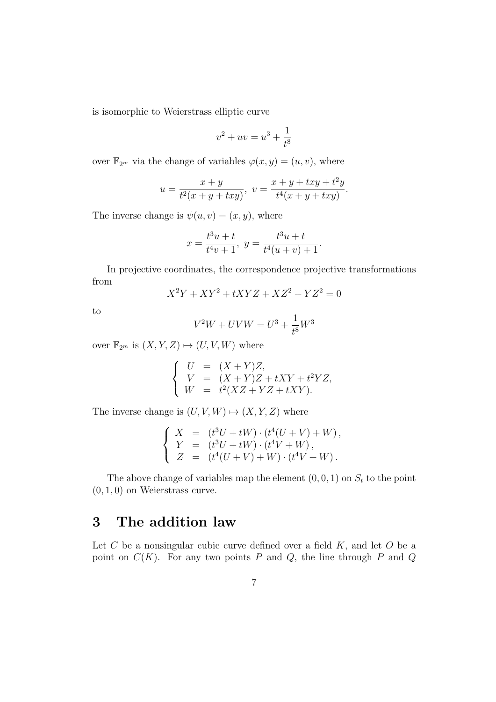is isomorphic to Weierstrass elliptic curve

$$
v^2 + uv = u^3 + \frac{1}{t^8}
$$

over  $\mathbb{F}_{2^m}$  via the change of variables  $\varphi(x, y) = (u, v)$ , where

$$
u = \frac{x+y}{t^2(x+y+txy)}, \ v = \frac{x+y+txy+t^2y}{t^4(x+y+txy)}
$$

.

The inverse change is  $\psi(u, v) = (x, y)$ , where

$$
x = \frac{t^3u + t}{t^4v + 1}, \ y = \frac{t^3u + t}{t^4(u + v) + 1}.
$$

In projective coordinates, the correspondence projective transformations from

$$
X^2Y + XY^2 + tXYZ + XZ^2 + YZ^2 = 0
$$

to

$$
V^{2}W + UVW = U^{3} + \frac{1}{t^{8}}W^{3}
$$

over  $\mathbb{F}_{2^m}$  is  $(X, Y, Z) \mapsto (U, V, W)$  where

$$
\begin{cases}\nU &= (X+Y)Z, \\
V &= (X+Y)Z + tXY + t^2YZ, \\
W &= t^2(XZ+YZ+tXY).\n\end{cases}
$$

The inverse change is  $(U, V, W) \mapsto (X, Y, Z)$  where

$$
\begin{cases}\nX &= (t^3U + tW) \cdot (t^4(U + V) + W), \\
Y &= (t^3U + tW) \cdot (t^4V + W), \\
Z &= (t^4(U + V) + W) \cdot (t^4V + W).\n\end{cases}
$$

The above change of variables map the element  $(0, 0, 1)$  on  $S_t$  to the point  $(0, 1, 0)$  on Weierstrass curve.

# 3 The addition law

Let  $C$  be a nonsingular cubic curve defined over a field  $K$ , and let  $O$  be a point on  $C(K)$ . For any two points P and Q, the line through P and Q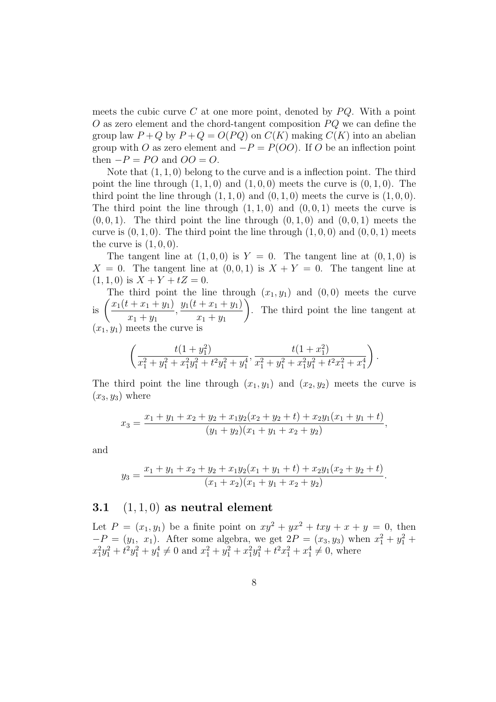meets the cubic curve C at one more point, denoted by  $PQ$ . With a point  $O$  as zero element and the chord-tangent composition  $PQ$  we can define the group law  $P + Q$  by  $P + Q = O(PQ)$  on  $C(K)$  making  $C(K)$  into an abelian group with O as zero element and  $-P = P(OO)$ . If O be an inflection point then  $-P = PO$  and  $OO = O$ .

Note that  $(1, 1, 0)$  belong to the curve and is a inflection point. The third point the line through  $(1, 1, 0)$  and  $(1, 0, 0)$  meets the curve is  $(0, 1, 0)$ . The third point the line through  $(1, 1, 0)$  and  $(0, 1, 0)$  meets the curve is  $(1, 0, 0)$ . The third point the line through  $(1, 1, 0)$  and  $(0, 0, 1)$  meets the curve is  $(0, 0, 1)$ . The third point the line through  $(0, 1, 0)$  and  $(0, 0, 1)$  meets the curve is  $(0, 1, 0)$ . The third point the line through  $(1, 0, 0)$  and  $(0, 0, 1)$  meets the curve is  $(1, 0, 0)$ .

The tangent line at  $(1, 0, 0)$  is  $Y = 0$ . The tangent line at  $(0, 1, 0)$  is  $X = 0$ . The tangent line at  $(0, 0, 1)$  is  $X + Y = 0$ . The tangent line at  $(1, 1, 0)$  is  $X + Y + tZ = 0$ .

The third point the line through  $(x_1, y_1)$  and  $(0, 0)$  meets the curve is  $\left( \frac{x_1(t+x_1+y_1)}{t} \right)$  $x_1 + y_1$  $, \frac{y_1(t+x_1+y_1)}{t}$  $x_1 + y_1$  $\setminus$ . The third point the line tangent at  $(x_1, y_1)$  meets the curve is

$$
\left(\frac{t(1+y_1^2)}{x_1^2+y_1^2+x_1^2y_1^2+t^2y_1^2+y_1^4}, \frac{t(1+x_1^2)}{x_1^2+y_1^2+x_1^2y_1^2+t^2x_1^2+x_1^4}\right).
$$

The third point the line through  $(x_1, y_1)$  and  $(x_2, y_2)$  meets the curve is  $(x_3, y_3)$  where

$$
x_3 = \frac{x_1 + y_1 + x_2 + y_2 + x_1 y_2 (x_2 + y_2 + t) + x_2 y_1 (x_1 + y_1 + t)}{(y_1 + y_2)(x_1 + y_1 + x_2 + y_2)},
$$

and

$$
y_3 = \frac{x_1 + y_1 + x_2 + y_2 + x_1 y_2 (x_1 + y_1 + t) + x_2 y_1 (x_2 + y_2 + t)}{(x_1 + x_2)(x_1 + y_1 + x_2 + y_2)}.
$$

#### 3.1  $(1, 1, 0)$  as neutral element

Let  $P = (x_1, y_1)$  be a finite point on  $xy^2 + yx^2 + txy + x + y = 0$ , then  $-P = (y_1, x_1)$ . After some algebra, we get  $2P = (x_3, y_3)$  when  $x_1^2 + y_1^2 + z_2^2$  $x_1^2y_1^2 + t^2y_1^2 + y_1^4 \neq 0$  and  $x_1^2 + y_1^2 + x_1^2y_1^2 + t^2x_1^2 + x_1^4 \neq 0$ , where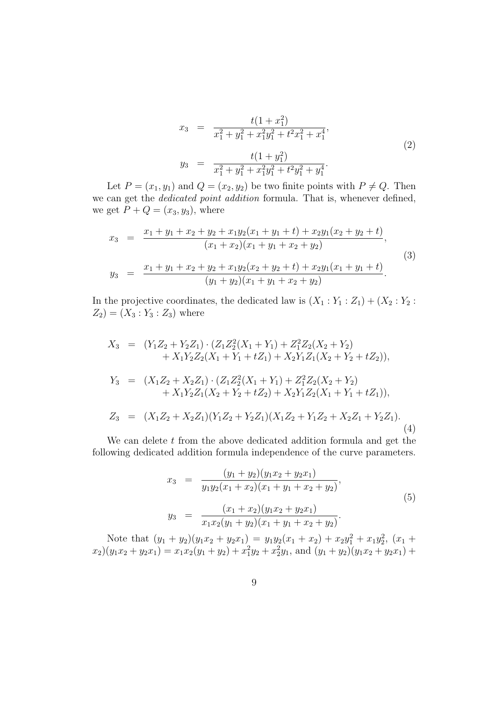$$
x_3 = \frac{t(1+x_1^2)}{x_1^2 + y_1^2 + x_1^2y_1^2 + t^2x_1^2 + x_1^4},
$$
  
\n
$$
y_3 = \frac{t(1+y_1^2)}{x_1^2 + y_1^2 + x_1^2y_1^2 + t^2y_1^2 + y_1^4}.
$$
\n(2)

Let  $P = (x_1, y_1)$  and  $Q = (x_2, y_2)$  be two finite points with  $P \neq Q$ . Then we can get the dedicated point addition formula. That is, whenever defined, we get  $P + Q = (x_3, y_3)$ , where

$$
x_3 = \frac{x_1 + y_1 + x_2 + y_2 + x_1 y_2 (x_1 + y_1 + t) + x_2 y_1 (x_2 + y_2 + t)}{(x_1 + x_2)(x_1 + y_1 + x_2 + y_2)},
$$
  
\n
$$
y_3 = \frac{x_1 + y_1 + x_2 + y_2 + x_1 y_2 (x_2 + y_2 + t) + x_2 y_1 (x_1 + y_1 + t)}{(y_1 + y_2)(x_1 + y_1 + x_2 + y_2)}.
$$
\n(3)

In the projective coordinates, the dedicated law is  $(X_1 : Y_1 : Z_1) + (X_2 : Y_2 :$  $Z_2$ ) =  $(X_3:Y_3:Z_3)$  where

$$
X_3 = (Y_1Z_2 + Y_2Z_1) \cdot (Z_1Z_2^2(X_1 + Y_1) + Z_1^2Z_2(X_2 + Y_2) + X_1Y_2Z_2(X_1 + Y_1 + tZ_1) + X_2Y_1Z_1(X_2 + Y_2 + tZ_2)),
$$
  
\n
$$
Y_3 = (X_1Z_2 + X_2Z_1) \cdot (Z_1Z_2^2(X_1 + Y_1) + Z_1^2Z_2(X_2 + Y_2) + X_1Y_2Z_1(X_2 + Y_2 + tZ_2) + X_2Y_1Z_2(X_1 + Y_1 + tZ_1)),
$$
  
\n
$$
Z_3 = (X_1Z_2 + X_2Z_1)(Y_1Z_2 + Y_2Z_1)(X_1Z_2 + Y_1Z_2 + X_2Z_1 + Y_2Z_1).
$$
  
\n(4)

We can delete  $t$  from the above dedicated addition formula and get the following dedicated addition formula independence of the curve parameters.

$$
x_3 = \frac{(y_1 + y_2)(y_1x_2 + y_2x_1)}{y_1y_2(x_1 + x_2)(x_1 + y_1 + x_2 + y_2)},
$$
  
\n
$$
y_3 = \frac{(x_1 + x_2)(y_1x_2 + y_2x_1)}{x_1x_2(y_1 + y_2)(x_1 + y_1 + x_2 + y_2)}.
$$
\n(5)

Note that  $(y_1 + y_2)(y_1x_2 + y_2x_1) = y_1y_2(x_1 + x_2) + x_2y_1^2 + x_1y_2^2$ ,  $(x_1 + y_2)$  $x_2(y_1x_2 + y_2x_1) = x_1x_2(y_1 + y_2) + x_1^2y_2 + x_2^2y_1$ , and  $(y_1 + y_2)(y_1x_2 + y_2x_1) + y_2^2y_1 + y_1^2y_2 + x_2y_1$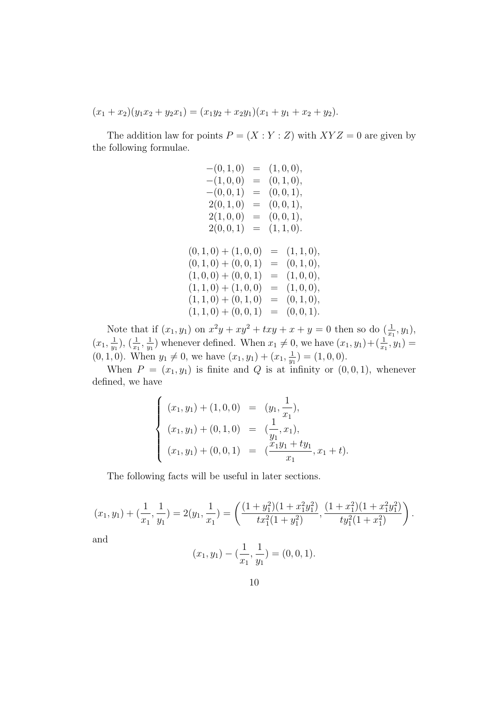$(x_1 + x_2)(y_1x_2 + y_2x_1) = (x_1y_2 + x_2y_1)(x_1 + y_1 + x_2 + y_2).$ 

The addition law for points  $P = (X : Y : Z)$  with  $XYZ = 0$  are given by the following formulae.

$$
-(0, 1, 0) = (1, 0, 0),\n-(1, 0, 0) = (0, 1, 0),\n-(0, 0, 1) = (0, 0, 1),\n2(0, 1, 0) = (0, 0, 1),\n2(1, 0, 0) = (0, 0, 1),\n2(0, 0, 1) = (1, 1, 0).
$$
\n
$$
(0, 1, 0) + (1, 0, 0) = (1, 1, 0),\n(0, 1, 0) + (0, 0, 1) = (0, 1, 0),\n(1, 0, 0) + (0, 0, 1) = (1, 0, 0),\n(1, 1, 0) + (1, 0, 0) = (1, 0, 0),\n(1, 1, 0) + (0, 1, 0) = (0, 1, 0),\n(1, 1, 0) + (0, 0, 1) = (0, 0, 1).
$$

Note that if  $(x_1, y_1)$  on  $x^2y + xy^2 + txy + x + y = 0$  then so do  $(\frac{1}{x_1}, y_1)$ ,  $(x_1, \frac{1}{n}$  $\frac{1}{y_1}), (\frac{1}{x_1}, \frac{1}{y_1})$  $(\frac{1}{y_1})$  whenever defined. When  $x_1 \neq 0$ , we have  $(x_1, y_1) + (\frac{1}{x_1}, y_1) =$  $(0, 1, 0)$ . When  $y_1 \neq 0$ , we have  $(x_1, y_1) + (x_1, \frac{1}{w_1})$  $\frac{1}{y_1})=(1,0,0).$ 

When  $P = (x_1, y_1)$  is finite and Q is at infinity or  $(0, 0, 1)$ , whenever defined, we have

$$
\begin{cases}\n(x_1, y_1) + (1, 0, 0) & = (y_1, \frac{1}{x_1}), \\
(x_1, y_1) + (0, 1, 0) & = (\frac{1}{y_1}, x_1), \\
(x_1, y_1) + (0, 0, 1) & = (\frac{x_1y_1 + ty_1}{x_1}, x_1 + t).\n\end{cases}
$$

The following facts will be useful in later sections.

$$
(x_1, y_1) + (\frac{1}{x_1}, \frac{1}{y_1}) = 2(y_1, \frac{1}{x_1}) = \left(\frac{(1+y_1^2)(1+x_1^2y_1^2)}{tx_1^2(1+y_1^2)}, \frac{(1+x_1^2)(1+x_1^2y_1^2)}{ty_1^2(1+x_1^2)}\right).
$$

and

$$
(x_1, y_1) - (\frac{1}{x_1}, \frac{1}{y_1}) = (0, 0, 1).
$$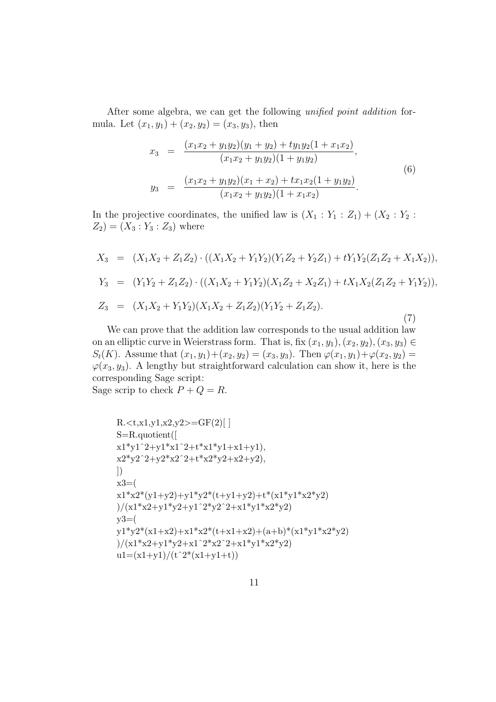After some algebra, we can get the following unified point addition formula. Let  $(x_1, y_1) + (x_2, y_2) = (x_3, y_3)$ , then

$$
x_3 = \frac{(x_1x_2 + y_1y_2)(y_1 + y_2) + ty_1y_2(1 + x_1x_2)}{(x_1x_2 + y_1y_2)(1 + y_1y_2)},
$$
  
\n
$$
y_3 = \frac{(x_1x_2 + y_1y_2)(x_1 + x_2) + tx_1x_2(1 + y_1y_2)}{(x_1x_2 + y_1y_2)(1 + x_1x_2)}.
$$
\n(6)

In the projective coordinates, the unified law is  $(X_1: Y_1: Z_1) + (X_2: Y_2:$  $Z_2$ ) =  $(X_3:Y_3:Z_3)$  where

$$
X_3 = (X_1X_2 + Z_1Z_2) \cdot ((X_1X_2 + Y_1Y_2)(Y_1Z_2 + Y_2Z_1) + tY_1Y_2(Z_1Z_2 + X_1X_2)),
$$
  
\n
$$
Y_3 = (Y_1Y_2 + Z_1Z_2) \cdot ((X_1X_2 + Y_1Y_2)(X_1Z_2 + X_2Z_1) + tX_1X_2(Z_1Z_2 + Y_1Y_2)),
$$
  
\n
$$
Z_3 = (X_1X_2 + Y_1Y_2)(X_1X_2 + Z_1Z_2)(Y_1Y_2 + Z_1Z_2).
$$
  
\n(7)

We can prove that the addition law corresponds to the usual addition law on an elliptic curve in Weierstrass form. That is, fix  $(x_1, y_1), (x_2, y_2), (x_3, y_3) \in$  $S_t(K)$ . Assume that  $(x_1, y_1) + (x_2, y_2) = (x_3, y_3)$ . Then  $\varphi(x_1, y_1) + \varphi(x_2, y_2) =$  $\varphi(x_3, y_3)$ . A lengthy but straightforward calculation can show it, here is the corresponding Sage script: Sage scrip to check  $P + Q = R$ .

R.  
\n
$$
R.\n
$$
x_1x_1y_1x_2y_2 = GF(2)[
$$
  
\n
$$
S=R.quotient([
$$
  
\n
$$
x_1*y_1^2+y_1*x_1^2+t*x_1*y_1+x1+y1),
$$
  
\n
$$
x_2*y_2^2+y_2*x_2^2+t*x_2*y_2+x2+y2),
$$
  
\n
$$
x_3=(
$$
  
\n
$$
x_1*x_2*(y_1+y_2)+y_1*y_2*(t+y_1+y_2)+t*(x_1*y_1*x_2*y_2)\n
$$
)/(x_1*x_2+y_1*y_2*y_1^2*x_2^2+x_1*y_1*x_2*y_2)\n
$$
)/(x_1*x_2+y_1*y_2+x_1^2*x_2^2+x_1*y_1*x_2*y_2)\n
$$
u=(x_1+y_1)/(t^2*(x_1+y_1+t))
$$
$$
$$
$$
$$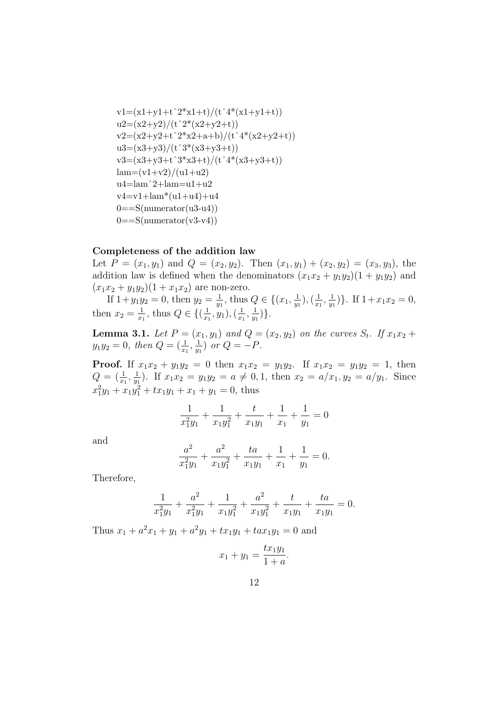$$
v1=(x1+y1+t^2*x1+t)/(t^4*(x1+y1+t))\nu2=(x2+y2)/(t^2*(x2+y2+t))\nv2=(x2+y2+t^2*x2+a+b)/(t^4*(x2+y2+t))\nu3=(x3+y3)/(t^3*(x3+y3+t))\nv3=(x3+y3+t^3*x3+t)/(t^4*(x3+y3+t))\nlam=(v1+v2)/(u1+u2)\nu4=lam^2+lam=u1+u2\nv4=v1+lam*(u1+u4)+u4\n0==S(numerator(u3-u4))\n0==S(numerator(v3-v4))
$$

#### Completeness of the addition law

Let  $P = (x_1, y_1)$  and  $Q = (x_2, y_2)$ . Then  $(x_1, y_1) + (x_2, y_2) = (x_3, y_3)$ , the addition law is defined when the denominators  $(x_1x_2 + y_1y_2)(1 + y_1y_2)$  and  $(x_1x_2 + y_1y_2)(1 + x_1x_2)$  are non-zero.

If  $1+y_1y_2=0$ , then  $y_2=\frac{1}{w}$  $\frac{1}{y_1}$ , thus  $Q \in \{(x_1, \frac{1}{y_1})\}$  $(\frac{1}{y_1}),(\frac{1}{x_1})$  $\frac{1}{x_1}, \frac{1}{y_1}$  $\frac{1}{y_1}$ }. If  $1+x_1x_2=0$ , then  $x_2 = \frac{1}{x_1}$  $\frac{1}{x_1}$ , thus  $Q \in \{(\frac{1}{x_1})\}$  $(\frac{1}{x_1}, y_1), (\frac{1}{x_1})$  $\frac{1}{x_1}, \frac{1}{y_1}$  $\frac{1}{y_1}$   $\}$ .

**Lemma 3.1.** Let  $P = (x_1, y_1)$  and  $Q = (x_2, y_2)$  on the curves  $S_t$ . If  $x_1x_2 +$  $y_1y_2 = 0$ , then  $Q = (\frac{1}{x_1}, \frac{1}{y_1})$  $\frac{1}{y_1}$  or  $Q = -P$ .

**Proof.** If  $x_1x_2 + y_1y_2 = 0$  then  $x_1x_2 = y_1y_2$ . If  $x_1x_2 = y_1y_2 = 1$ , then  $Q=(\frac{1}{x_1},\frac{1}{y_1}$  $(\frac{1}{y_1})$ . If  $x_1x_2 = y_1y_2 = a \neq 0, 1$ , then  $x_2 = a/x_1, y_2 = a/y_1$ . Since  $x_1^2y_1 + x_1y_1^2 + tx_1y_1 + x_1 + y_1 = 0$ , thus

$$
\frac{1}{x_1^2y_1} + \frac{1}{x_1y_1^2} + \frac{t}{x_1y_1} + \frac{1}{x_1} + \frac{1}{y_1} = 0
$$

and

$$
\frac{a^2}{x_1^2y_1} + \frac{a^2}{x_1y_1^2} + \frac{ta}{x_1y_1} + \frac{1}{x_1} + \frac{1}{y_1} = 0.
$$

Therefore,

$$
\frac{1}{x_1^2y_1} + \frac{a^2}{x_1^2y_1} + \frac{1}{x_1y_1^2} + \frac{a^2}{x_1y_1^2} + \frac{t}{x_1y_1} + \frac{ta}{x_1y_1} = 0.
$$

Thus  $x_1 + a^2x_1 + y_1 + a^2y_1 + tx_1y_1 + tax_1y_1 = 0$  and

$$
x_1 + y_1 = \frac{tx_1y_1}{1+a}
$$

.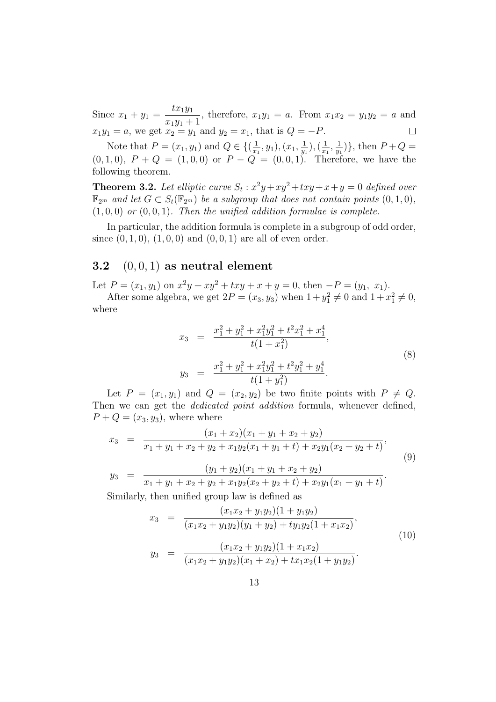$tx_1y_1$ Since  $x_1 + y_1 =$ , therefore,  $x_1y_1 = a$ . From  $x_1x_2 = y_1y_2 = a$  and  $x_1y_1 + 1$  $x_1y_1 = a$ , we get  $x_2 = y_1$  and  $y_2 = x_1$ , that is  $Q = -P$ .  $\Box$ 

Note that  $P=(x_1,y_1)$  and  $Q \in \{(\frac{1}{x_1}, \frac{1}{x_2}, \ldots, \frac{1}{x_n}\})$  $(\frac{1}{x_1}, y_1), (x_1, \frac{1}{y_1})$  $(\frac{1}{y_1}),(\frac{1}{x_1})$  $\frac{1}{x_1}, \frac{1}{y_1}$  $(\frac{1}{y_1})\},\$  then  $P+Q=$  $(0, 1, 0), P + Q = (1, 0, 0)$  or  $P - Q = (0, 0, 1)$ . Therefore, we have the following theorem.

**Theorem 3.2.** Let elliptic curve  $S_t$ :  $x^2y + xy^2 + txy + x + y = 0$  defined over  $\mathbb{F}_{2^m}$  and let  $G \subset S_t(\mathbb{F}_{2^m})$  be a subgroup that does not contain points  $(0,1,0)$ ,  $(1, 0, 0)$  or  $(0, 0, 1)$ . Then the unified addition formulae is complete.

In particular, the addition formula is complete in a subgroup of odd order, since  $(0, 1, 0), (1, 0, 0)$  and  $(0, 0, 1)$  are all of even order.

#### 3.2  $(0, 0, 1)$  as neutral element

Let  $P = (x_1, y_1)$  on  $x^2y + xy^2 + txy + x + y = 0$ , then  $-P = (y_1, x_1)$ .

After some algebra, we get  $2P = (x_3, y_3)$  when  $1 + y_1^2 \neq 0$  and  $1 + x_1^2 \neq 0$ , where

$$
x_3 = \frac{x_1^2 + y_1^2 + x_1^2 y_1^2 + t^2 x_1^2 + x_1^4}{t(1+x_1^2)},
$$
  
\n
$$
y_3 = \frac{x_1^2 + y_1^2 + x_1^2 y_1^2 + t^2 y_1^2 + y_1^4}{t(1+y_1^2)}.
$$
\n(8)

Let  $P = (x_1, y_1)$  and  $Q = (x_2, y_2)$  be two finite points with  $P \neq Q$ . Then we can get the *dedicated point addition* formula, whenever defined,  $P + Q = (x_3, y_3)$ , where where

$$
x_3 = \frac{(x_1 + x_2)(x_1 + y_1 + x_2 + y_2)}{x_1 + y_1 + x_2 + y_2 + x_1y_2(x_1 + y_1 + t) + x_2y_1(x_2 + y_2 + t)},
$$
  
\n
$$
y_3 = \frac{(y_1 + y_2)(x_1 + y_1 + x_2 + y_2)}{x_1 + y_1 + x_2 + y_2 + x_1y_2(x_2 + y_2 + t) + x_2y_1(x_1 + y_1 + t)}.
$$
\n(9)

Similarly, then unified group law is defined as

$$
x_3 = \frac{(x_1x_2 + y_1y_2)(1 + y_1y_2)}{(x_1x_2 + y_1y_2)(y_1 + y_2) + ty_1y_2(1 + x_1x_2)},
$$
  
\n
$$
y_3 = \frac{(x_1x_2 + y_1y_2)(1 + x_1x_2)}{(x_1x_2 + y_1y_2)(x_1 + x_2) + tx_1x_2(1 + y_1y_2)}.
$$
\n(10)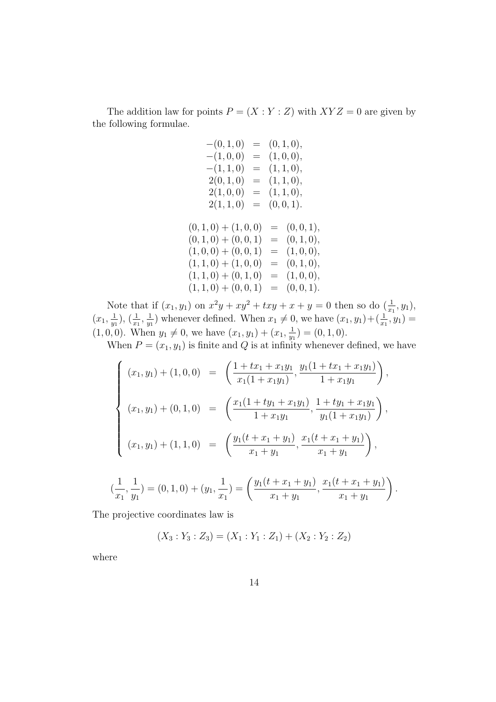The addition law for points  $P = (X : Y : Z)$  with  $XYZ = 0$  are given by the following formulae.

| $-(0,1,0)$          | $=$ |     | (0, 1, 0),     |
|---------------------|-----|-----|----------------|
| $-(1,0,0)$          |     |     | $= (1,0,0),$   |
| $-(1, 1, 0)$        |     |     | $= (1, 1, 0),$ |
| 2(0,1,0)            |     |     | $= (1, 1, 0),$ |
| 2(1,0,0)            |     |     | $= (1, 1, 0),$ |
| 2(1, 1, 0)          |     |     | $= (0,0,1).$   |
|                     |     |     |                |
| $(0,1,0) + (1,0,0)$ |     | $=$ | (0,0,1),       |
| $(0,1,0) + (0,0,1)$ |     |     | $= (0, 1, 0),$ |
| $(1,0,0) + (0,0,1)$ |     |     | $= (1,0,0),$   |
| $(1,1,0) + (1,0,0)$ |     | $=$ | (0, 1, 0),     |
| $(1,1,0) + (0,1,0)$ |     | $=$ | (1,0,0),       |
| $(1,1,0) + (0,0,1)$ |     | $=$ | (0,0,1).       |

Note that if  $(x_1, y_1)$  on  $x^2y + xy^2 + txy + x + y = 0$  then so do  $(\frac{1}{x_1}, y_1)$ ,  $(x_1, \frac{1}{n}$  $(\frac{1}{y_1}), (\frac{1}{x_1}, \frac{1}{y_1})$  $(\frac{1}{y_1})$  whenever defined. When  $x_1 \neq 0$ , we have  $(x_1, y_1) + (\frac{1}{x_1}, y_1) =$  $(1, 0, 0)$ . When  $y_1 \neq 0$ , we have  $(x_1, y_1) + (x_1, \frac{1}{w_1})$  $\frac{1}{y_1}$ ) = (0, 1, 0).

When  $P = (x_1, y_1)$  is finite and Q is at infinity whenever defined, we have

$$
\begin{cases}\n(x_1, y_1) + (1, 0, 0) &= \left(\frac{1 + tx_1 + x_1y_1}{x_1(1 + x_1y_1)}, \frac{y_1(1 + tx_1 + x_1y_1)}{1 + x_1y_1}\right), \\
(x_1, y_1) + (0, 1, 0) &= \left(\frac{x_1(1 + ty_1 + x_1y_1)}{1 + x_1y_1}, \frac{1 + ty_1 + x_1y_1}{y_1(1 + x_1y_1)}\right), \\
(x_1, y_1) + (1, 1, 0) &= \left(\frac{y_1(t + x_1 + y_1)}{x_1 + y_1}, \frac{x_1(t + x_1 + y_1)}{x_1 + y_1}\right), \\
(\frac{1}{x_1}, \frac{1}{y_1}) = (0, 1, 0) + (y_1, \frac{1}{x_1}) = \left(\frac{y_1(t + x_1 + y_1)}{x_1 + y_1}, \frac{x_1(t + x_1 + y_1)}{x_1 + y_1}\right).\n\end{cases}
$$

The projective coordinates law is

$$
(X_3:Y_3:Z_3)=(X_1:Y_1:Z_1)+(X_2:Y_2:Z_2)
$$

where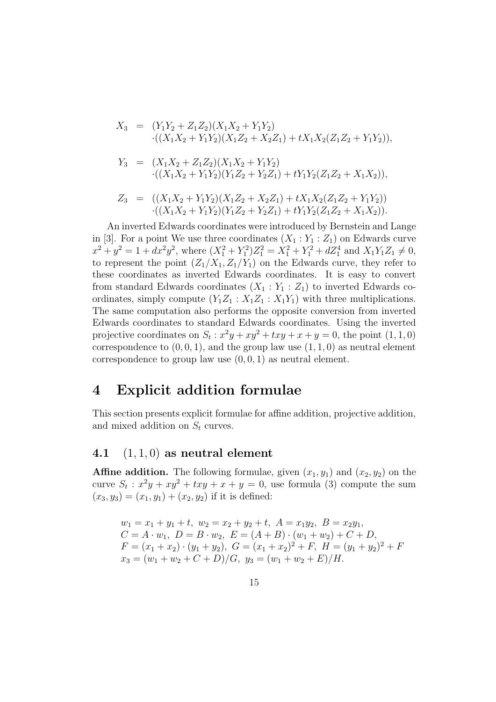$$
X_3 = (Y_1Y_2 + Z_1Z_2)(X_1X_2 + Y_1Y_2)
$$
  
\n
$$
\cdot((X_1X_2 + Y_1Y_2)(X_1Z_2 + X_2Z_1) + tX_1X_2(Z_1Z_2 + Y_1Y_2)),
$$
  
\n
$$
Y_3 = (X_1X_2 + Z_1Z_2)(X_1X_2 + Y_1Y_2)
$$
  
\n
$$
\cdot((X_1X_2 + Y_1Y_2)(Y_1Z_2 + Y_2Z_1) + tY_1Y_2(Z_1Z_2 + X_1X_2)),
$$
  
\n
$$
Z_3 = ((X_1X_2 + Y_1Y_2)(X_1Z_2 + X_2Z_1) + tX_1X_2(Z_1Z_2 + Y_1Y_2))
$$
  
\n
$$
\cdot((X_1X_2 + Y_1Y_2)(Y_1Z_2 + Y_2Z_1) + tY_1Y_2(Z_1Z_2 + X_1X_2)).
$$

An inverted Edwards coordinates were introduced by Bernstein and Lange in [3]. For a point We use three coordinates  $(X_1 : Y_1 : Z_1)$  on Edwards curve  $x^2 + y^2 = 1 + dx^2y^2$ , where  $(X_1^2 + Y_1^2)Z_1^2 = X_1^2 + Y_1^2 + dZ_1^4$  and  $X_1Y_1Z_1 \neq 0$ , to represent the point  $(Z_1/X_1, Z_1/Y_1)$  on the Edwards curve, they refer to these coordinates as inverted Edwards coordinates. It is easy to convert from standard Edwards coordinates  $(X_1 : Y_1 : Z_1)$  to inverted Edwards coordinates, simply compute  $(Y_1Z_1 : X_1Z_1 : X_1Y_1)$  with three multiplications. The same computation also performs the opposite conversion from inverted Edwards coordinates to standard Edwards coordinates. Using the inverted projective coordinates on  $S_t$ :  $x^2y + xy^2 + txy + x + y = 0$ , the point  $(1, 1, 0)$ correspondence to  $(0, 0, 1)$ , and the group law use  $(1, 1, 0)$  as neutral element correspondence to group law use  $(0, 0, 1)$  as neutral element.

### 4 Explicit addition formulae

This section presents explicit formulae for affine addition, projective addition, and mixed addition on  $S_t$  curves.

### 4.1  $(1, 1, 0)$  as neutral element

**Affine addition.** The following formulae, given  $(x_1, y_1)$  and  $(x_2, y_2)$  on the curve  $S_t$ :  $x^2y + xy^2 + txy + x + y = 0$ , use formula (3) compute the sum  $(x_3, y_3) = (x_1, y_1) + (x_2, y_2)$  if it is defined:

 $w_1 = x_1 + y_1 + t$ ,  $w_2 = x_2 + y_2 + t$ ,  $A = x_1y_2$ ,  $B = x_2y_1$ ,  $C = A \cdot w_1, D = B \cdot w_2, E = (A + B) \cdot (w_1 + w_2) + C + D,$  $F = (x_1 + x_2) \cdot (y_1 + y_2), \ G = (x_1 + x_2)^2 + F, \ H = (y_1 + y_2)^2 + F$  $x_3 = (w_1 + w_2 + C + D)/G$ ,  $y_3 = (w_1 + w_2 + E)/H$ .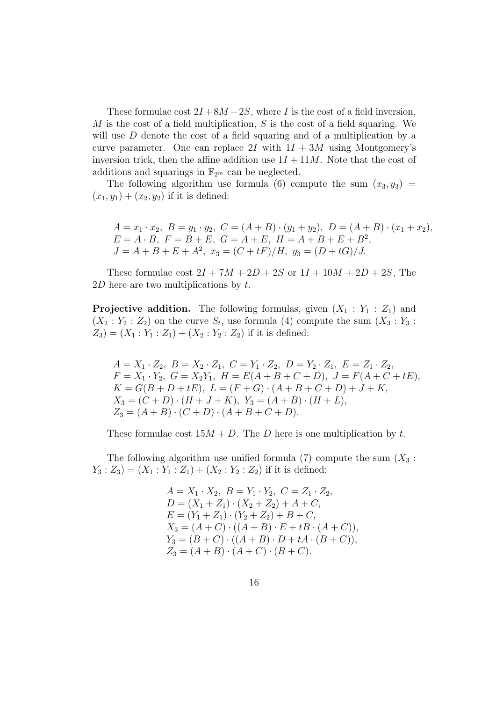These formulae cost  $2I + 8M + 2S$ , where I is the cost of a field inversion, M is the cost of a field multiplication,  $S$  is the cost of a field squaring. We will use D denote the cost of a field squaring and of a multiplication by a curve parameter. One can replace 2I with  $1I + 3M$  using Montgomery's inversion trick, then the affine addition use  $1I + 11M$ . Note that the cost of additions and squarings in  $\mathbb{F}_{2^m}$  can be neglected.

The following algorithm use formula (6) compute the sum  $(x_3, y_3)$  =  $(x_1, y_1) + (x_2, y_2)$  if it is defined:

$$
A = x_1 \cdot x_2, \ B = y_1 \cdot y_2, \ C = (A + B) \cdot (y_1 + y_2), \ D = (A + B) \cdot (x_1 + x_2),
$$
  
\n
$$
E = A \cdot B, \ F = B + E, \ G = A + E, \ H = A + B + E + B^2,
$$
  
\n
$$
J = A + B + E + A^2, \ x_3 = (C + tF)/H, \ y_3 = (D + tG)/J.
$$

These formulae cost  $2I + 7M + 2D + 2S$  or  $1I + 10M + 2D + 2S$ , The  $2D$  here are two multiplications by t.

**Projective addition.** The following formulas, given  $(X_1 : Y_1 : Z_1)$  and  $(X_2: Y_2: Z_2)$  on the curve  $S_t$ , use formula (4) compute the sum  $(X_3: Y_3:$  $Z_3$ ) = ( $X_1: Y_1: Z_1$ ) + ( $X_2: Y_2: Z_2$ ) if it is defined:

 $A = X_1 \cdot Z_2, B = X_2 \cdot Z_1, C = Y_1 \cdot Z_2, D = Y_2 \cdot Z_1, E = Z_1 \cdot Z_2,$  $F = X_1 \cdot Y_2, \ G = X_2 Y_1, \ H = E(A + B + C + D), \ J = F(A + C + tE),$  $K = G(B + D + tE), L = (F + G) \cdot (A + B + C + D) + J + K,$  $X_3 = (C + D) \cdot (H + J + K), Y_3 = (A + B) \cdot (H + L),$  $Z_3 = (A + B) \cdot (C + D) \cdot (A + B + C + D).$ 

These formulae cost  $15M + D$ . The D here is one multiplication by t.

The following algorithm use unified formula (7) compute the sum  $(X_3:$  $Y_3: Z_3 = (X_1: Y_1: Z_1) + (X_2: Y_2: Z_2)$  if it is defined:

$$
A = X_1 \cdot X_2, B = Y_1 \cdot Y_2, C = Z_1 \cdot Z_2,
$$
  
\n
$$
D = (X_1 + Z_1) \cdot (X_2 + Z_2) + A + C,
$$
  
\n
$$
E = (Y_1 + Z_1) \cdot (Y_2 + Z_2) + B + C,
$$
  
\n
$$
X_3 = (A + C) \cdot ((A + B) \cdot E + tB \cdot (A + C)),
$$
  
\n
$$
Y_3 = (B + C) \cdot ((A + B) \cdot D + tA \cdot (B + C)),
$$
  
\n
$$
Z_3 = (A + B) \cdot (A + C) \cdot (B + C).
$$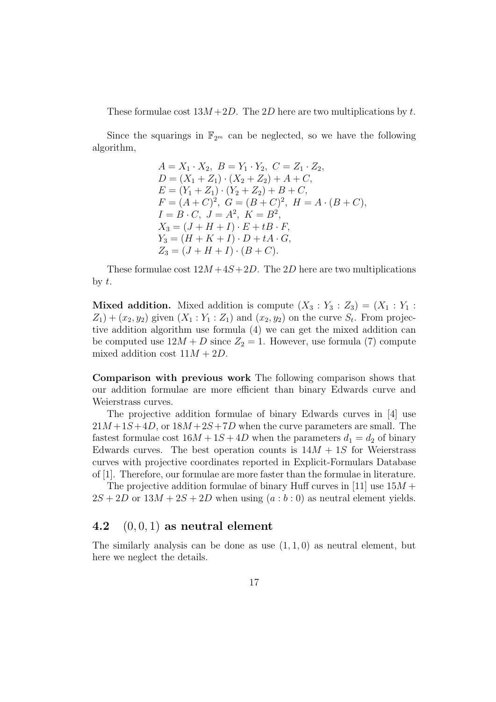These formulae cost  $13M + 2D$ . The 2D here are two multiplications by t.

Since the squarings in  $\mathbb{F}_{2^m}$  can be neglected, so we have the following algorithm,

$$
A = X_1 \cdot X_2, B = Y_1 \cdot Y_2, C = Z_1 \cdot Z_2,
$$
  
\n
$$
D = (X_1 + Z_1) \cdot (X_2 + Z_2) + A + C,
$$
  
\n
$$
E = (Y_1 + Z_1) \cdot (Y_2 + Z_2) + B + C,
$$
  
\n
$$
F = (A + C)^2, G = (B + C)^2, H = A \cdot (B + C),
$$
  
\n
$$
I = B \cdot C, J = A^2, K = B^2,
$$
  
\n
$$
X_3 = (J + H + I) \cdot E + tB \cdot F,
$$
  
\n
$$
Y_3 = (H + K + I) \cdot D + tA \cdot G,
$$
  
\n
$$
Z_3 = (J + H + I) \cdot (B + C).
$$

These formulae cost  $12M + 4S + 2D$ . The 2D here are two multiplications by  $t$ .

**Mixed addition.** Mixed addition is compute  $(X_3 : Y_3 : Z_3) = (X_1 : Y_1 : Y_2)$  $Z_1$  +  $(x_2, y_2)$  given  $(X_1 : Y_1 : Z_1)$  and  $(x_2, y_2)$  on the curve  $S_t$ . From projective addition algorithm use formula (4) we can get the mixed addition can be computed use  $12M + D$  since  $Z_2 = 1$ . However, use formula (7) compute mixed addition cost  $11M + 2D$ .

Comparison with previous work The following comparison shows that our addition formulae are more efficient than binary Edwards curve and Weierstrass curves.

The projective addition formulae of binary Edwards curves in [4] use  $21M+1S+4D$ , or  $18M+2S+7D$  when the curve parameters are small. The fastest formulae cost  $16M + 1S + 4D$  when the parameters  $d_1 = d_2$  of binary Edwards curves. The best operation counts is  $14M + 1S$  for Weierstrass curves with projective coordinates reported in Explicit-Formulars Database of [1]. Therefore, our formulae are more faster than the formulae in literature.

The projective addition formulae of binary Huff curves in [11] use  $15M +$  $2S + 2D$  or  $13M + 2S + 2D$  when using  $(a:b:0)$  as neutral element yields.

### 4.2  $(0, 0, 1)$  as neutral element

The similarly analysis can be done as use  $(1, 1, 0)$  as neutral element, but here we neglect the details.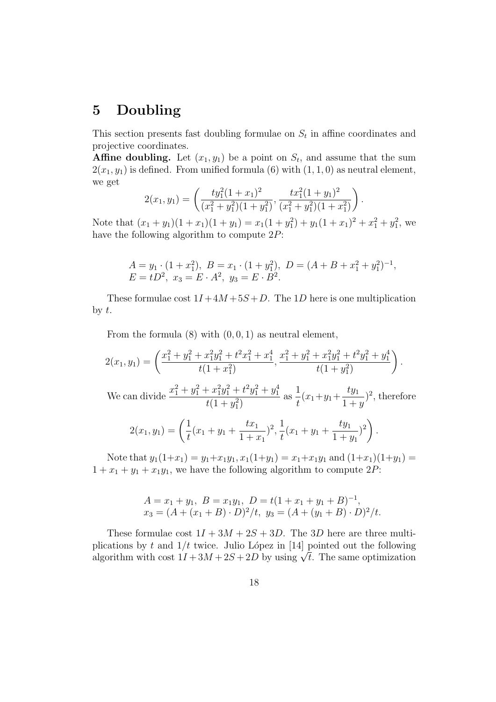# 5 Doubling

This section presents fast doubling formulae on  $S_t$  in affine coordinates and projective coordinates.

**Affine doubling.** Let  $(x_1, y_1)$  be a point on  $S_t$ , and assume that the sum  $2(x_1, y_1)$  is defined. From unified formula (6) with  $(1, 1, 0)$  as neutral element, we get

$$
2(x_1, y_1) = \left(\frac{ty_1^2(1+x_1)^2}{(x_1^2+y_1^2)(1+y_1^2)}, \frac{tx_1^2(1+y_1)^2}{(x_1^2+y_1^2)(1+x_1^2)}\right).
$$

Note that  $(x_1 + y_1)(1 + x_1)(1 + y_1) = x_1(1 + y_1^2) + y_1(1 + x_1)^2 + x_1^2 + y_1^2$ , we have the following algorithm to compute  $2P$ :

$$
A = y_1 \cdot (1 + x_1^2), \ B = x_1 \cdot (1 + y_1^2), \ D = (A + B + x_1^2 + y_1^2)^{-1}, E = tD^2, \ x_3 = E \cdot A^2, \ y_3 = E \cdot B^2.
$$

These formulae cost  $1I + 4M + 5S + D$ . The 1D here is one multiplication by  $t$ .

From the formula  $(8)$  with  $(0, 0, 1)$  as neutral element,

$$
2(x_1, y_1) = \left(\frac{x_1^2 + y_1^2 + x_1^2 y_1^2 + t^2 x_1^2 + x_1^4}{t(1+x_1^2)}, \frac{x_1^2 + y_1^2 + x_1^2 y_1^2 + t^2 y_1^2 + y_1^4}{t(1+y_1^2)}\right).
$$
  
We can divide 
$$
\frac{x_1^2 + y_1^2 + x_1^2 y_1^2 + t^2 y_1^2 + y_1^4}{t(1+y_1^2)}
$$
 as 
$$
\frac{1}{t}(x_1 + y_1 + \frac{ty_1}{1+y})^2
$$
, therefore  

$$
2(x_1, y_1) = \left(\frac{1}{t}(x_1 + y_1 + \frac{tx_1}{1+x_1})^2, \frac{1}{t}(x_1 + y_1 + \frac{ty_1}{1+y_1})^2\right).
$$

Note that  $y_1(1+x_1) = y_1+x_1y_1, x_1(1+y_1) = x_1+x_1y_1$  and  $(1+x_1)(1+y_1) =$  $1 + x_1 + y_1 + x_1y_1$ , we have the following algorithm to compute 2P:

$$
A = x_1 + y_1, B = x_1y_1, D = t(1 + x_1 + y_1 + B)^{-1},
$$
  
\n
$$
x_3 = (A + (x_1 + B) \cdot D)^2/t, y_3 = (A + (y_1 + B) \cdot D)^2/t.
$$

These formulae cost  $1I + 3M + 2S + 3D$ . The 3D here are three multiplications by t and  $1/t$  twice. Julio López in [14] pointed out the following pheations by t and  $1/t$  twice. Juno Lopez in [14] pointed out the following algorithm with cost  $1I + 3M + 2S + 2D$  by using  $\sqrt{t}$ . The same optimization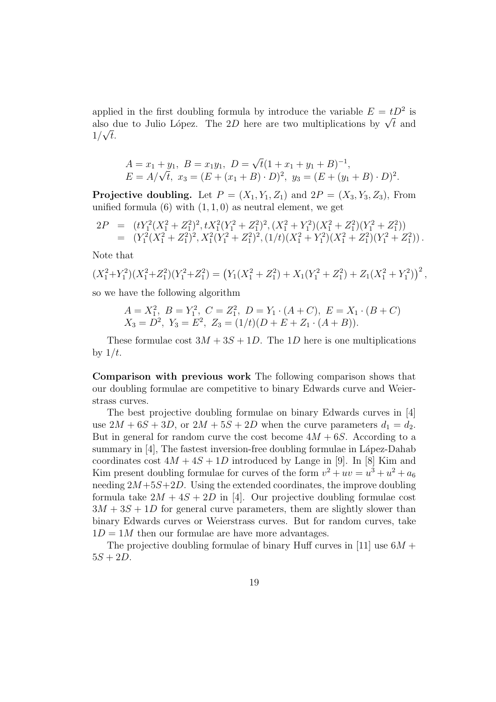applied in the first doubling formula by introduce the variable  $E = tD^2$  is applied in the first doubling formula by introduce the variable  $E = tD^2$  is<br>also due to Julio López. The 2D here are two multiplications by  $\sqrt{t}$  and  $1/\sqrt{t}$ .

$$
A = x_1 + y_1, B = x_1y_1, D = \sqrt{t}(1 + x_1 + y_1 + B)^{-1},
$$
  
\n
$$
E = A/\sqrt{t}, x_3 = (E + (x_1 + B) \cdot D)^2, y_3 = (E + (y_1 + B) \cdot D)^2.
$$

**Projective doubling.** Let  $P = (X_1, Y_1, Z_1)$  and  $2P = (X_3, Y_3, Z_3)$ , From unified formula  $(6)$  with  $(1, 1, 0)$  as neutral element, we get

$$
2P = (tY_1^2(X_1^2 + Z_1^2)^2, tX_1^2(Y_1^2 + Z_1^2)^2, (X_1^2 + Y_1^2)(X_1^2 + Z_1^2)(Y_1^2 + Z_1^2))
$$
  
=  $(Y_1^2(X_1^2 + Z_1^2)^2, X_1^2(Y_1^2 + Z_1^2)^2, (1/t)(X_1^2 + Y_1^2)(X_1^2 + Z_1^2)(Y_1^2 + Z_1^2)).$ 

Note that

$$
(X_1^2+Y_1^2)(X_1^2+Z_1^2)(Y_1^2+Z_1^2) = (Y_1(X_1^2+Z_1^2)+X_1(Y_1^2+Z_1^2)+Z_1(X_1^2+Y_1^2))^2,
$$

so we have the following algorithm

$$
A = X_1^2, B = Y_1^2, C = Z_1^2, D = Y_1 \cdot (A + C), E = X_1 \cdot (B + C)
$$
  

$$
X_3 = D^2, Y_3 = E^2, Z_3 = (1/t)(D + E + Z_1 \cdot (A + B)).
$$

These formulae cost  $3M + 3S + 1D$ . The 1D here is one multiplications by  $1/t$ .

Comparison with previous work The following comparison shows that our doubling formulae are competitive to binary Edwards curve and Weierstrass curves.

The best projective doubling formulae on binary Edwards curves in [4] use  $2M + 6S + 3D$ , or  $2M + 5S + 2D$  when the curve parameters  $d_1 = d_2$ . But in general for random curve the cost become  $4M + 6S$ . According to a summary in  $[4]$ , The fastest inversion-free doubling formulae in Lápez-Dahab coordinates cost  $4M + 4S + 1D$  introduced by Lange in [9]. In [8] Kim and Kim present doubling formulae for curves of the form  $v^2 + uv = u^3 + u^2 + a_6$ needing  $2M+5S+2D$ . Using the extended coordinates, the improve doubling formula take  $2M + 4S + 2D$  in [4]. Our projective doubling formulae cost  $3M + 3S + 1D$  for general curve parameters, them are slightly slower than binary Edwards curves or Weierstrass curves. But for random curves, take  $1D = 1M$  then our formulae are have more advantages.

The projective doubling formulae of binary Huff curves in [11] use  $6M +$  $5S + 2D$ .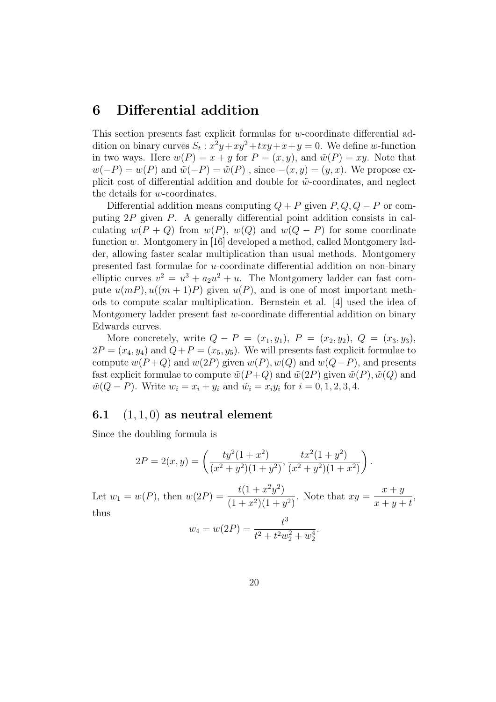### 6 Differential addition

This section presents fast explicit formulas for w-coordinate differential addition on binary curves  $S_t$ :  $x^2y + xy^2 + txy + x + y = 0$ . We define w-function in two ways. Here  $w(P) = x + y$  for  $P = (x, y)$ , and  $\tilde{w}(P) = xy$ . Note that  $w(-P) = w(P)$  and  $\tilde{w}(-P) = \tilde{w}(P)$ , since  $-(x, y) = (y, x)$ . We propose explicit cost of differential addition and double for  $\tilde{w}$ -coordinates, and neglect the details for w-coordinates.

Differential addition means computing  $Q + P$  given  $P, Q, Q - P$  or computing 2P given P. A generally differential point addition consists in calculating  $w(P + Q)$  from  $w(P)$ ,  $w(Q)$  and  $w(Q - P)$  for some coordinate function w. Montgomery in [16] developed a method, called Montgomery ladder, allowing faster scalar multiplication than usual methods. Montgomery presented fast formulae for u-coordinate differential addition on non-binary elliptic curves  $v^2 = u^3 + a_2u^2 + u$ . The Montgomery ladder can fast compute  $u(mP), u((m+1)P)$  given  $u(P)$ , and is one of most important methods to compute scalar multiplication. Bernstein et al. [4] used the idea of Montgomery ladder present fast  $w$ -coordinate differential addition on binary Edwards curves.

More concretely, write  $Q - P = (x_1, y_1), P = (x_2, y_2), Q = (x_3, y_3),$  $2P = (x_4, y_4)$  and  $Q + P = (x_5, y_5)$ . We will presents fast explicit formulae to compute  $w(P+Q)$  and  $w(2P)$  given  $w(P)$ ,  $w(Q)$  and  $w(Q-P)$ , and presents fast explicit formulae to compute  $\tilde{w}(P+Q)$  and  $\tilde{w}(2P)$  given  $\tilde{w}(P), \tilde{w}(Q)$  and  $\tilde{w}(Q - P)$ . Write  $w_i = x_i + y_i$  and  $\tilde{w}_i = x_i y_i$  for  $i = 0, 1, 2, 3, 4$ .

### 6.1  $(1, 1, 0)$  as neutral element

Since the doubling formula is

$$
2P = 2(x, y) = \left(\frac{ty^2(1+x^2)}{(x^2+y^2)(1+y^2)}, \frac{tx^2(1+y^2)}{(x^2+y^2)(1+x^2)}\right).
$$

Let  $w_1 = w(P)$ , then  $w(2P) = \frac{t(1+x^2y^2)}{(1+x^2)(1+y^2)}$  $(1+x^2)(1+y^2)$ . Note that  $xy =$  $x + y$  $x + y + t$ , thus 3

$$
w_4 = w(2P) = \frac{t^3}{t^2 + t^2 w_2^2 + w_2^4}.
$$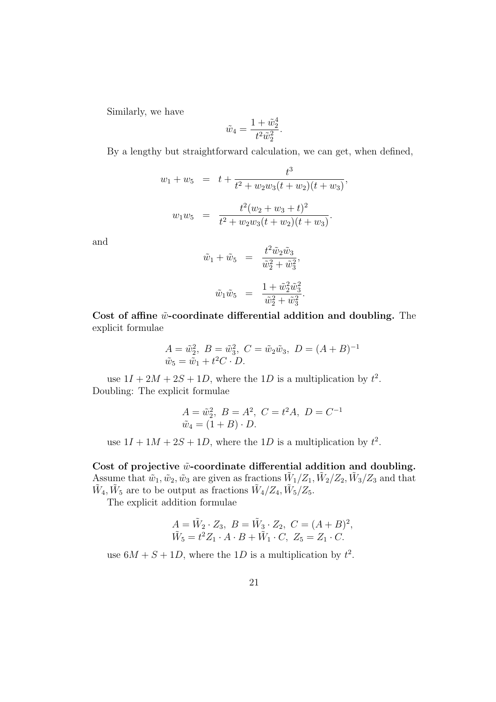Similarly, we have

$$
\tilde{w}_4 = \frac{1 + \tilde{w}_2^4}{t^2 \tilde{w}_2^2}.
$$

By a lengthy but straightforward calculation, we can get, when defined,

$$
w_1 + w_5 = t + \frac{t^3}{t^2 + w_2 w_3 (t + w_2)(t + w_3)},
$$
  

$$
w_1 w_5 = \frac{t^2 (w_2 + w_3 + t)^2}{t^2 + w_2 w_3 (t + w_2)(t + w_3)}.
$$

and

$$
\tilde{w}_1 + \tilde{w}_5 = \frac{t^2 \tilde{w}_2 \tilde{w}_3}{\tilde{w}_2^2 + \tilde{w}_3^2},
$$
  

$$
\tilde{w}_1 \tilde{w}_5 = \frac{1 + \tilde{w}_2^2 \tilde{w}_3^2}{\tilde{w}_2^2 + \tilde{w}_3^2}.
$$

Cost of affine  $\tilde{w}$ -coordinate differential addition and doubling. The explicit formulae

$$
A = \tilde{w}_2^2, B = \tilde{w}_3^2, C = \tilde{w}_2 \tilde{w}_3, D = (A + B)^{-1}
$$
  

$$
\tilde{w}_5 = \tilde{w}_1 + t^2 C \cdot D.
$$

use  $1I + 2M + 2S + 1D$ , where the 1D is a multiplication by  $t^2$ . Doubling: The explicit formulae

$$
A = \tilde{w}_2^2, B = A^2, C = t^2 A, D = C^{-1}
$$
  

$$
\tilde{w}_4 = (1 + B) \cdot D.
$$

use  $1I + 1M + 2S + 1D$ , where the 1D is a multiplication by  $t^2$ .

Cost of projective  $\tilde{w}$ -coordinate differential addition and doubling. Assume that  $\tilde{w}_1, \tilde{w}_2, \tilde{w}_3$  are given as fractions  $\tilde{W}_1/Z_1, \tilde{W}_2/Z_2, \tilde{W}_3/Z_3$  and that  $\tilde{W}_4, \tilde{W}_5$  are to be output as fractions  $\tilde{W}_4/Z_4, \tilde{W}_5/Z_5$ .

The explicit addition formulae

$$
A = \tilde{W}_2 \cdot Z_3, \ B = \tilde{W}_3 \cdot Z_2, \ C = (A + B)^2, \tilde{W}_5 = t^2 Z_1 \cdot A \cdot B + \tilde{W}_1 \cdot C, \ Z_5 = Z_1 \cdot C.
$$

use  $6M + S + 1D$ , where the 1D is a multiplication by  $t^2$ .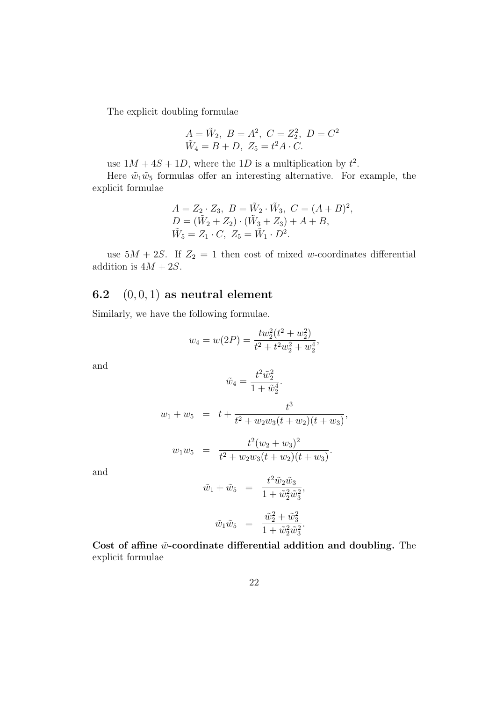The explicit doubling formulae

$$
A = \tilde{W}_2
$$
,  $B = A^2$ ,  $C = Z_2^2$ ,  $D = C^2$   
 $\tilde{W}_4 = B + D$ ,  $Z_5 = t^2 A \cdot C$ .

use  $1M + 4S + 1D$ , where the 1D is a multiplication by  $t^2$ .

Here  $\tilde{w}_1\tilde{w}_5$  formulas offer an interesting alternative. For example, the explicit formulae

$$
A = Z_2 \cdot Z_3, \ B = \tilde{W}_2 \cdot \tilde{W}_3, \ C = (A + B)^2,
$$
  
\n
$$
D = (\tilde{W}_2 + Z_2) \cdot (\tilde{W}_3 + Z_3) + A + B,
$$
  
\n
$$
\tilde{W}_5 = Z_1 \cdot C, \ Z_5 = \tilde{W}_1 \cdot D^2.
$$

use  $5M + 2S$ . If  $Z_2 = 1$  then cost of mixed w-coordinates differential addition is  $4M + 2S$ .

### 6.2  $(0, 0, 1)$  as neutral element

Similarly, we have the following formulae.

$$
w_4 = w(2P) = \frac{tw_2^2(t^2 + w_2^2)}{t^2 + t^2w_2^2 + w_2^4},
$$

and

$$
\tilde{w}_4 = \frac{t^2 \tilde{w}_2^2}{1 + \tilde{w}_2^4}.
$$

$$
w_1 + w_5 = t + \frac{t^3}{t^2 + w_2 w_3 (t + w_2)(t + w_3)},
$$

$$
w_1 w_5 = \frac{t^2 (w_2 + w_3)^2}{t^2 + w_2 w_3 (t + w_2)(t + w_3)}.
$$

and

$$
\tilde{w}_1 + \tilde{w}_5 = \frac{t^2 \tilde{w}_2 \tilde{w}_3}{1 + \tilde{w}_2^2 \tilde{w}_3^2},
$$
  

$$
\tilde{w}_1 \tilde{w}_5 = \frac{\tilde{w}_2^2 + \tilde{w}_3^2}{1 + \tilde{w}_2^2 \tilde{w}_3^2}.
$$

Cost of affine  $\tilde{w}$ -coordinate differential addition and doubling. The explicit formulae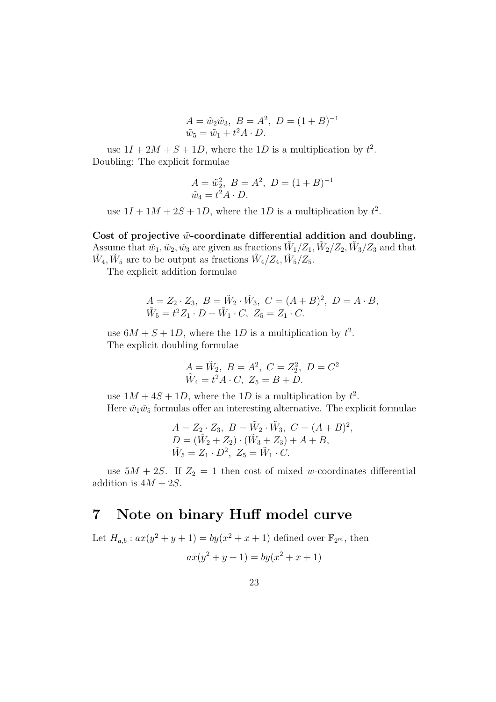$$
A = \tilde{w}_2 \tilde{w}_3, \ B = A^2, \ D = (1 + B)^{-1}
$$
  

$$
\tilde{w}_5 = \tilde{w}_1 + t^2 A \cdot D.
$$

use  $1I + 2M + S + 1D$ , where the 1D is a multiplication by  $t^2$ . Doubling: The explicit formulae

$$
A = \tilde{w}_2^2, B = A^2, D = (1 + B)^{-1}
$$
  

$$
\tilde{w}_4 = t^2 A \cdot D.
$$

use  $1I + 1M + 2S + 1D$ , where the 1D is a multiplication by  $t^2$ .

Cost of projective  $\tilde{\psi}$ -coordinate differential addition and doubling. Assume that  $\tilde{w}_1, \tilde{w}_2, \tilde{w}_3$  are given as fractions  $\tilde{W}_1/Z_1, \tilde{W}_2/Z_2, \tilde{W}_3/Z_3$  and that  $\tilde{W}_4, \tilde{W}_5$  are to be output as fractions  $\tilde{W}_4/Z_4, \tilde{W}_5/Z_5$ .

The explicit addition formulae

$$
A = Z_2 \cdot Z_3, \ B = \tilde{W}_2 \cdot \tilde{W}_3, \ C = (A + B)^2, \ D = A \cdot B,
$$
  

$$
\tilde{W}_5 = t^2 Z_1 \cdot D + \tilde{W}_1 \cdot C, \ Z_5 = Z_1 \cdot C.
$$

use  $6M + S + 1D$ , where the 1D is a multiplication by  $t^2$ . The explicit doubling formulae

$$
A = \tilde{W}_2
$$
,  $B = A^2$ ,  $C = Z_2^2$ ,  $D = C^2$   
 $\tilde{W}_4 = t^2 A \cdot C$ ,  $Z_5 = B + D$ .

use  $1M + 4S + 1D$ , where the 1D is a multiplication by  $t^2$ . Here  $\tilde{w}_1\tilde{w}_5$  formulas offer an interesting alternative. The explicit formulae

$$
A = Z_2 \cdot Z_3, B = \tilde{W}_2 \cdot \tilde{W}_3, C = (A + B)^2,
$$
  
\n
$$
D = (\tilde{W}_2 + Z_2) \cdot (\tilde{W}_3 + Z_3) + A + B,
$$
  
\n
$$
\tilde{W}_5 = Z_1 \cdot D^2, Z_5 = \tilde{W}_1 \cdot C.
$$

use  $5M + 2S$ . If  $Z_2 = 1$  then cost of mixed w-coordinates differential addition is  $4M + 2S$ .

## 7 Note on binary Huff model curve

Let  $H_{a,b}: ax(y^2 + y + 1) = by(x^2 + x + 1)$  defined over  $\mathbb{F}_{2^m}$ , then  $ax(y^2 + y + 1) = by(x^2 + x + 1)$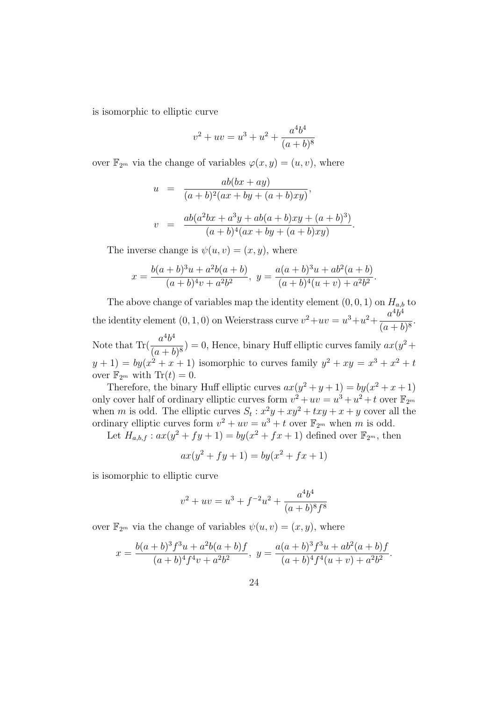is isomorphic to elliptic curve

$$
v^{2} + uv = u^{3} + u^{2} + \frac{a^{4}b^{4}}{(a+b)^{8}}
$$

over  $\mathbb{F}_{2^m}$  via the change of variables  $\varphi(x, y) = (u, v)$ , where

$$
u = \frac{ab(bx+ay)}{(a+b)^2(ax+by+(a+b)xy)},
$$
  

$$
v = \frac{ab(a^2bx+a^3y+ab(a+b)xy+(a+b)^3)}{(a+b)^4(ax+by+(a+b)xy)}.
$$

The inverse change is  $\psi(u, v) = (x, y)$ , where

$$
x = \frac{b(a+b)^3u + a^2b(a+b)}{(a+b)^4v + a^2b^2}, \ y = \frac{a(a+b)^3u + ab^2(a+b)}{(a+b)^4(u+v) + a^2b^2}.
$$

The above change of variables map the identity element  $(0, 0, 1)$  on  $H_{a,b}$  to the identity element  $(0, 1, 0)$  on Weierstrass curve  $v^2 + uv = u^3 + u^2 + \frac{a^4b^4}{(u^2 + b^2)^2}$  $\frac{a}{(a+b)^8}.$ Note that  $\text{Tr}(\frac{a^4b}{\sqrt{a^4}})$  $4h<sub>4</sub>$  $\frac{d^2v}{(a+b)^8}$  = 0, Hence, binary Huff elliptic curves family  $ax(y^2 +$  $(y+1) = by(x^2+x+1)$  isomorphic to curves family  $y^2 + xy = x^3 + x^2 + t$ over  $\mathbb{F}_{2^m}$  with  $\text{Tr}(t) = 0$ .

Therefore, the binary Huff elliptic curves  $ax(y^2 + y + 1) = by(x^2 + x + 1)$ only cover half of ordinary elliptic curves form  $v^2 + uv = u^3 + u^2 + t$  over  $\mathbb{F}_{2^m}$ when m is odd. The elliptic curves  $S_t$ :  $x^2y + xy^2 + txy + x + y$  cover all the ordinary elliptic curves form  $v^2 + uv = u^3 + t$  over  $\mathbb{F}_{2^m}$  when m is odd.

Let  $H_{a,b,f} : ax(y^2 + fy + 1) = by(x^2 + fx + 1)$  defined over  $\mathbb{F}_{2^m}$ , then

$$
ax(y^2 + fy + 1) = by(x^2 + fx + 1)
$$

is isomorphic to elliptic curve

$$
v^{2} + uv = u^{3} + f^{-2}u^{2} + \frac{a^{4}b^{4}}{(a+b)^{8}f^{8}}
$$

over  $\mathbb{F}_{2^m}$  via the change of variables  $\psi(u, v) = (x, y)$ , where

$$
x = \frac{b(a+b)^3 f^3 u + a^2 b(a+b) f}{(a+b)^4 f^4 v + a^2 b^2}, \ y = \frac{a(a+b)^3 f^3 u + ab^2 (a+b) f}{(a+b)^4 f^4 (u+v) + a^2 b^2}.
$$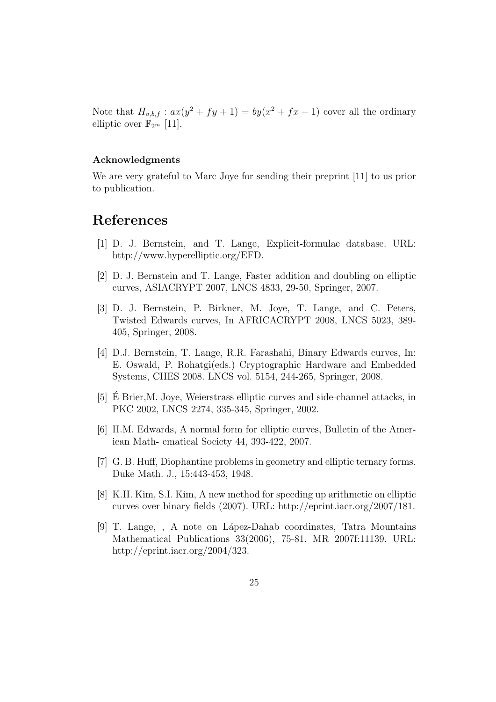Note that  $H_{a,b,f}: ax(y^2 + fy + 1) = by(x^2 + fx + 1)$  cover all the ordinary elliptic over  $\mathbb{F}_{2^m}$  [11].

#### Acknowledgments

We are very grateful to Marc Joye for sending their preprint [11] to us prior to publication.

# References

- [1] D. J. Bernstein, and T. Lange, Explicit-formulae database. URL: http://www.hyperelliptic.org/EFD.
- [2] D. J. Bernstein and T. Lange, Faster addition and doubling on elliptic curves, ASIACRYPT 2007, LNCS 4833, 29-50, Springer, 2007.
- [3] D. J. Bernstein, P. Birkner, M. Joye, T. Lange, and C. Peters, Twisted Edwards curves, In AFRICACRYPT 2008, LNCS 5023, 389- 405, Springer, 2008.
- [4] D.J. Bernstein, T. Lange, R.R. Farashahi, Binary Edwards curves, In: E. Oswald, P. Rohatgi(eds.) Cryptographic Hardware and Embedded Systems, CHES 2008. LNCS vol. 5154, 244-265, Springer, 2008.
- [5] E Brier,M. Joye, Weierstrass elliptic curves and side-channel attacks, in ´ PKC 2002, LNCS 2274, 335-345, Springer, 2002.
- [6] H.M. Edwards, A normal form for elliptic curves, Bulletin of the American Math- ematical Society 44, 393-422, 2007.
- [7] G. B. Huff, Diophantine problems in geometry and elliptic ternary forms. Duke Math. J., 15:443-453, 1948.
- [8] K.H. Kim, S.I. Kim, A new method for speeding up arithmetic on elliptic curves over binary fields (2007). URL: http://eprint.iacr.org/2007/181.
- [9] T. Lange, , A note on L´apez-Dahab coordinates, Tatra Mountains Mathematical Publications 33(2006), 75-81. MR 2007f:11139. URL: http://eprint.iacr.org/2004/323.